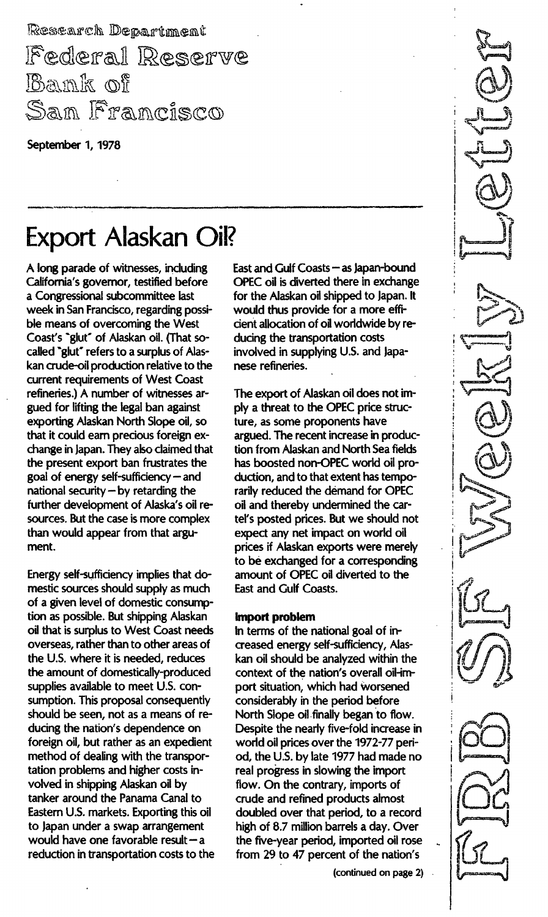Research Department Federal Reserve Bank of San Francisco

September 1, 1978

# Export Alaskan Oil?

A long parade of witnesses, including California's governor, testified before a Congressional subcommittee last week in San Francisco, regarding possible means of overcoming the West Coast's "glut" of Alaskan oil. (That socalled "glut" refers to a surplus of Alaskan crude-oil production relative to the current requirements of West Coast refineries.) A number of witnesses argued for lifting the legal ban against exporting Alaskan North Slope oil, so that it could earn precious foreign exchange in Japan. They also claimed that the present export ban frustrates the goal of energy self-sufficiency - and national security  $-$  by retarding the further development of Alaska's oil resources. But the case is more complex than would appear from that argument.

Energy self-sufficiency implies that domestic sources should supply as much of a given level of domestic consumption as possible. But shipping Alaskan oil that is surplus to West Coast needs overseas, rather than to other areas of the U.s. where it is needed, reduces the amount of domestically-produced supplies available to meet U.S. consumption. This proposal consequently should be seen, not as a means of reducing the nation's dependence on foreign oil, but rather as an expedient method of dealing with the transportation problems and higher costs involved in shipping Alaskan oil by tanker around the Panama Canal to Eastern U.s. markets. Exporting this oil to Japan under a swap arrangement would have one favorable result  $-a$ reduction in transportation costs to the East and Gulf Coasts - as Japan-bound OPEC oil is diverted there in exchange for the Alaskan oil shipped to Japan. It would thus provide for a more efficient allocation of oil worldwide by reducing the transportation costs involved in supplying U.s. and Japanese refineries.

The export of Alaskan oil does not imply a threat to the OPEC price structure, as some proponents have argued. The recent increase in production from Alaskan and North Sea fields has boosted non-OPEC world oil production, and to that extent has temporarily reduced the demand for OPEC oil and thereby undermined the cartel's posted prices. But we should not expect any net impact on world oil prices if Alaskan exports were merely to be exchanged for a corresponding amount of OPEC oil diverted to the East and Gulf Coasts.

### Import problem

In terms of the national goal of increased energy self-sufficiency, Alaskan oil should be analyzed within the context of the nation's overall oil-import situation, which had worsened considerably in the period before North Slope oil finally began to flow. Despite the nearly five-fold increase in world oil prices over the 1972-77 period, the U.s. by late 1977 had made no real progress in slowing the import flow. On the contrary, imports of crude and refined products almost doubled over that period, to a record high of 8.7 million barrels a day. Over the five-year period, imported oil rose from 29 to 47 percent of the nation's

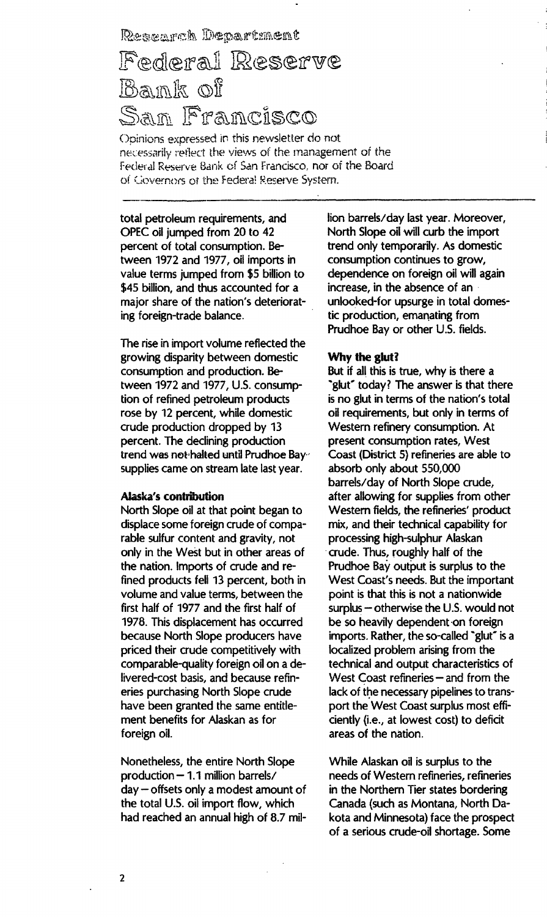Research Department

# Federal Reserve Bank of <u>San Francisco</u>

Opinions expressed in this newsletter do not necessarily reflect the views of the management of the Federal Reserve Bank of San Francisco, nor of the Board of Governors of the Federal Reserve System.

total petroleum requirements, and OPEC oil jumped from 20 to 42 percent of total consumption. Between 1972 and 1977, oil imports in value terms jumped from \$5 billion to \$45 billion, and thus accounted for a major share of the nation's deteriorating foreign-trade balance.

The rise in import volurne reflected the growing disparity between domestic consumption and production. Between 1972 and 1977, U.S. consumption of refined petroleum products rose by 12 percent, while domestic crude production dropped by 13 percent. The declining production trend was not halted until Prudhoe Baysupplies came on stream late last year.

#### Alaska's contribution

North Slope oil at that point began to displace some foreign crude of comparable sulfur content and gravity, not only in the West but in other areas of the nation. Imports of crude and refined products fell 13 percent, both in volume and value terms, between the first half of 1977 and the first half of 1978. This displacement has occurred because North Slope producers have priced their crude competitively with comparable-quality foreign oil on a delivered-cost basis, and because refineries purchasing North Slope crude have been granted the same entitlement benefits for Alaskan as for foreign oil.

Nonetheless, the entire North Slope production - 1.1 million barrels/ day - offsets only a modest amount of the total U.S. oil import flow, which had reached an annual high of 8.7 million barrels/day last year. Moreover, North Slope oil will curb the import trend only temporarily. As domestic consumption continues to grow, dependence on foreign oil will again increase, in the absence of an unlooked-for upsurge in total domestic production, emanating from Prudhoe Bay or other U.S. fields.

#### Why the glut?

But if all this is true, why is there a "glut" today? The answer is that there is no glut in terms of the nation's total oil requirements, but only in terms of \Nestern refinery consumption. At present consumption rates, West Coast (District 5) refineries are able to absorb only about 550,000 barrels/ day of North Slope crude, after allowing for supplies from other Western fields, the refineries' product mix, and their technical capability for processing high-sulphur Alaskan crude. Thus, roughly half of the Prudhoe Bay output is surplus to the \/Vest Coast's needs. But the important point is that this is not a nationwide surplus  $-$  otherwise the U.S. would not be so heavily dependent on foreign imports. Rather, the so-called "glut" is a localized problem arising from the technical and output characteristics of West Coast refineries  $-$  and from the lack of the necessary pipelines to transport the West Coast surplus most efficiently (i.e., at lowest cost) to deficit areas of the nation.

While Alaskan oil is surplus to the needs of Western refineries, refineries in the Northern Tier states bordering Canada (such as Montana, North Dakota and Minnesota) face the prospect of a serious crude-oil shortage. Some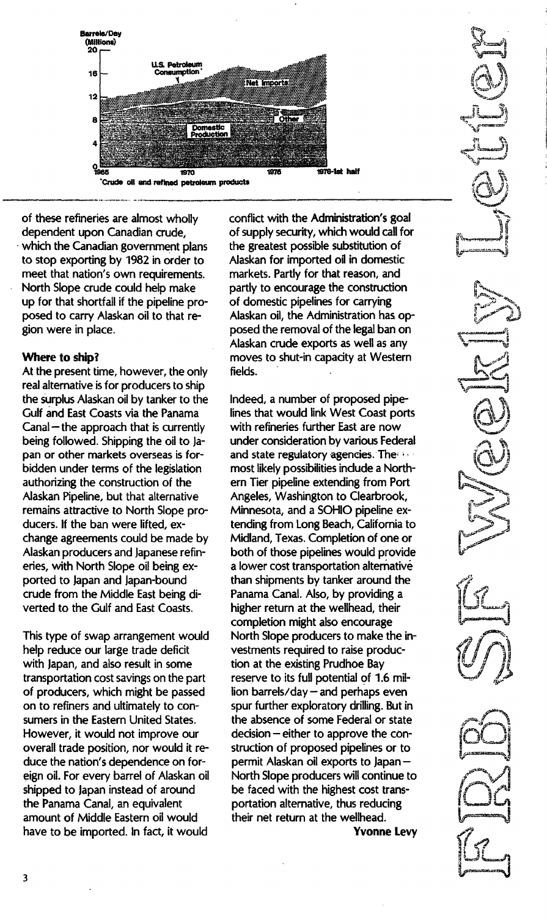

of these refineries are almost wholly dependent upon Canadian crude, which the Canadian government plans to stop exporting by 1982 in order to meet that nation's own requirements. North Slope crude could help make up for that shortfall if the pipeline proposed to carry Alaskan oil to that region were in place.

## Where to ship?

At the present time, however, the only real alternative is for producers to ship the surplus Alaskan oil by tanker to the Gulf and East Coasts via the Panama  $Canal$  – the approach that is currently being followed. Shipping the oil to Japan or other markets overseas is forbidden under terms of the legislation authorizing the construction of the Alaskan Pipeline, but that alternative remains attractive to North Slope producers. If the ban were lifted, exchange agreements could be made by Alaskan producers and Japanese refineries, with North Slope oil being exported to Japan and Japan-bound crude from the Middle East being diverted to the Gulf and East Coasts.

This type of swap arrangement would help reduce our large trade deficit with Japan, and also result in some transportation cost savings on the part of producers, which might be passed on to refiners and ultimately to consumers in the Eastern United States. However, it would not improve our overall trade position, nor would it reduce the nation's dependence on foreign oil. For every barrel of Alaskan oil shipped to Japan instead of around the Panama Canal, an equivalent amount of Middle Eastern oil would have to be imported. In fact, it would

conflict with the Administration's goai of supply security, which would call for the greatest possible substitution of Alaskan for imported oil in domestic markets. Partly for that reason, and partly to encourage the construction of domestic pipelines for carrying Alaskan oil, the Administration has opposed the removal of the legal ban on Alaskan crude exports as well as any moves to shut-in capacity at Western fields.

Indeed, a number of proposed pipelines that would link West Coast ports with refineries further East are now under consideration by various Federal and state regulatory agencies. The set most likely possibilities include a Northern Tier pipeline extending from Port Angeles, Washington to Clearbrook, Minnesota, and a SOHIO pipeline extending from Long Beach, California to Midland, Texas. Completion of one or both of those pipelines would provide a lower cost transportation alternative than shipments by tanker around the Panama Canal. Also, by providing a higher return at the wellhead, their completion might also encourage North Slope producers to make the investments required to raise production at the existing Prudhoe Bay reserve to its full potential of 1.6 mi! lion barrels/day  $-$  and perhaps even spur further exploratory drilling. But in the absence of some Federal or state decision – either to approve the construction of proposed pipelines or to permit Alaskan oil exports to Japan-North Slope producers will continue to be faced with the highest cost transportation alternative, thus reducing their net return at the wellhead.

Yvonne levy